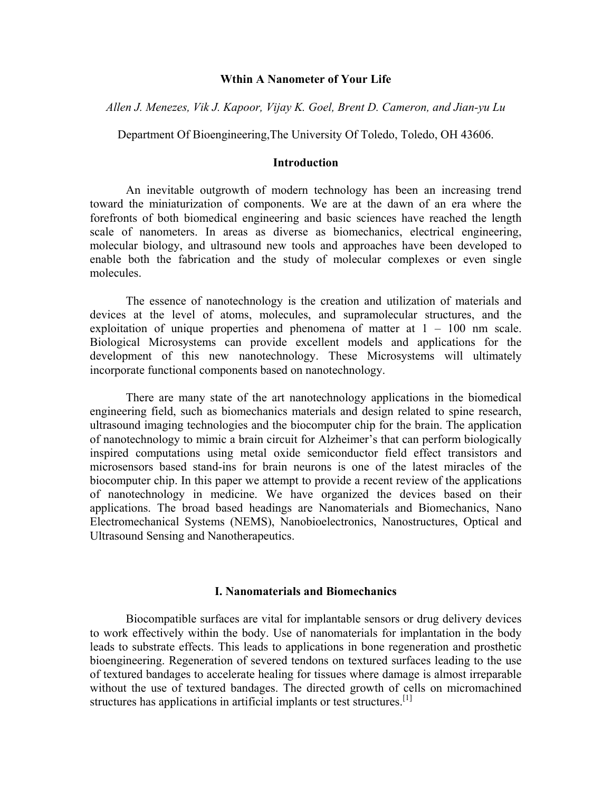#### **Wthin A Nanometer of Your Life**

*Allen J. Menezes, Vik J. Kapoor, Vijay K. Goel, Brent D. Cameron, and Jian-yu Lu* 

Department Of Bioengineering,The University Of Toledo, Toledo, OH 43606.

### **Introduction**

An inevitable outgrowth of modern technology has been an increasing trend toward the miniaturization of components. We are at the dawn of an era where the forefronts of both biomedical engineering and basic sciences have reached the length scale of nanometers. In areas as diverse as biomechanics, electrical engineering, molecular biology, and ultrasound new tools and approaches have been developed to enable both the fabrication and the study of molecular complexes or even single molecules.

The essence of nanotechnology is the creation and utilization of materials and devices at the level of atoms, molecules, and supramolecular structures, and the exploitation of unique properties and phenomena of matter at  $1 - 100$  nm scale. Biological Microsystems can provide excellent models and applications for the development of this new nanotechnology. These Microsystems will ultimately incorporate functional components based on nanotechnology.

There are many state of the art nanotechnology applications in the biomedical engineering field, such as biomechanics materials and design related to spine research, ultrasound imaging technologies and the biocomputer chip for the brain. The application of nanotechnology to mimic a brain circuit for Alzheimer's that can perform biologically inspired computations using metal oxide semiconductor field effect transistors and microsensors based stand-ins for brain neurons is one of the latest miracles of the biocomputer chip. In this paper we attempt to provide a recent review of the applications of nanotechnology in medicine. We have organized the devices based on their applications. The broad based headings are Nanomaterials and Biomechanics, Nano Electromechanical Systems (NEMS), Nanobioelectronics, Nanostructures, Optical and Ultrasound Sensing and Nanotherapeutics.

#### **I. Nanomaterials and Biomechanics**

Biocompatible surfaces are vital for implantable sensors or drug delivery devices to work effectively within the body. Use of nanomaterials for implantation in the body leads to substrate effects. This leads to applications in bone regeneration and prosthetic bioengineering. Regeneration of severed tendons on textured surfaces leading to the use of textured bandages to accelerate healing for tissues where damage is almost irreparable without the use of textured bandages. The directed growth of cells on micromachined structures has applications in artificial implants or test structures.<sup>[1]</sup>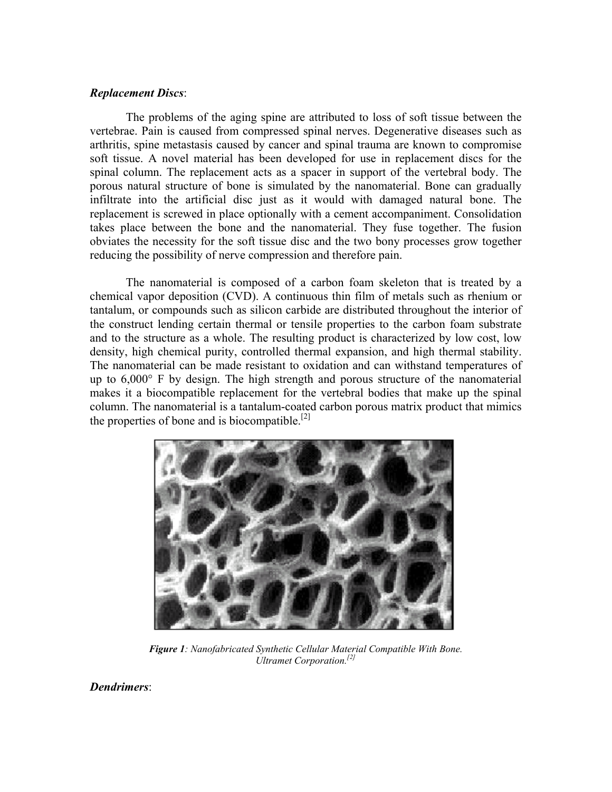## *Replacement Discs*:

The problems of the aging spine are attributed to loss of soft tissue between the vertebrae. Pain is caused from compressed spinal nerves. Degenerative diseases such as arthritis, spine metastasis caused by cancer and spinal trauma are known to compromise soft tissue. A novel material has been developed for use in replacement discs for the spinal column. The replacement acts as a spacer in support of the vertebral body. The porous natural structure of bone is simulated by the nanomaterial. Bone can gradually infiltrate into the artificial disc just as it would with damaged natural bone. The replacement is screwed in place optionally with a cement accompaniment. Consolidation takes place between the bone and the nanomaterial. They fuse together. The fusion obviates the necessity for the soft tissue disc and the two bony processes grow together reducing the possibility of nerve compression and therefore pain.

The nanomaterial is composed of a carbon foam skeleton that is treated by a chemical vapor deposition (CVD). A continuous thin film of metals such as rhenium or tantalum, or compounds such as silicon carbide are distributed throughout the interior of the construct lending certain thermal or tensile properties to the carbon foam substrate and to the structure as a whole. The resulting product is characterized by low cost, low density, high chemical purity, controlled thermal expansion, and high thermal stability. The nanomaterial can be made resistant to oxidation and can withstand temperatures of up to 6,000° F by design. The high strength and porous structure of the nanomaterial makes it a biocompatible replacement for the vertebral bodies that make up the spinal column. The nanomaterial is a tantalum-coated carbon porous matrix product that mimics the properties of bone and is biocompatible.<sup>[2]</sup>



*Figure 1: Nanofabricated Synthetic Cellular Material Compatible With Bone. Ultramet Corporation.[2]*

*Dendrimers*: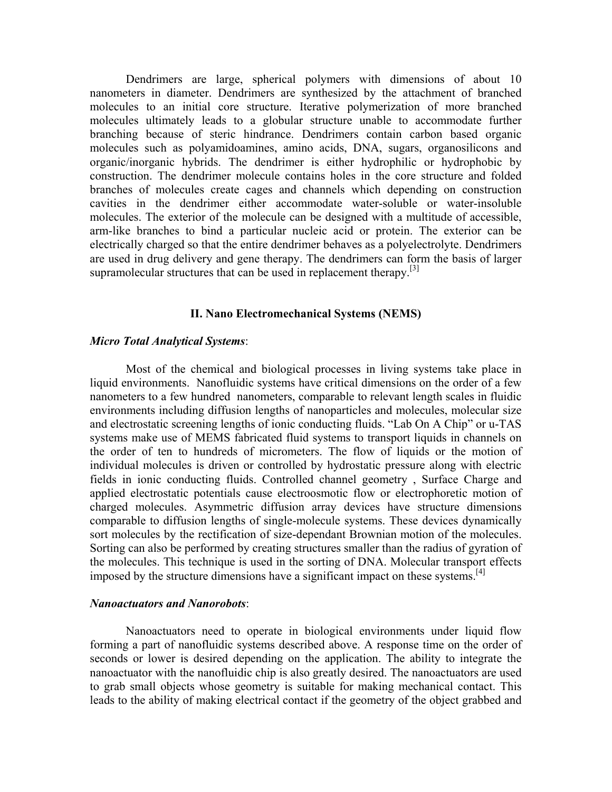Dendrimers are large, spherical polymers with dimensions of about 10 nanometers in diameter. Dendrimers are synthesized by the attachment of branched molecules to an initial core structure. Iterative polymerization of more branched molecules ultimately leads to a globular structure unable to accommodate further branching because of steric hindrance. Dendrimers contain carbon based organic molecules such as polyamidoamines, amino acids, DNA, sugars, organosilicons and organic/inorganic hybrids. The dendrimer is either hydrophilic or hydrophobic by construction. The dendrimer molecule contains holes in the core structure and folded branches of molecules create cages and channels which depending on construction cavities in the dendrimer either accommodate water-soluble or water-insoluble molecules. The exterior of the molecule can be designed with a multitude of accessible, arm-like branches to bind a particular nucleic acid or protein. The exterior can be electrically charged so that the entire dendrimer behaves as a polyelectrolyte. Dendrimers are used in drug delivery and gene therapy. The dendrimers can form the basis of larger supramolecular structures that can be used in replacement therapy.<sup>[3]</sup>

#### **II. Nano Electromechanical Systems (NEMS)**

#### *Micro Total Analytical Systems*:

Most of the chemical and biological processes in living systems take place in liquid environments. Nanofluidic systems have critical dimensions on the order of a few nanometers to a few hundred nanometers, comparable to relevant length scales in fluidic environments including diffusion lengths of nanoparticles and molecules, molecular size and electrostatic screening lengths of ionic conducting fluids. "Lab On A Chip" or u-TAS systems make use of MEMS fabricated fluid systems to transport liquids in channels on the order of ten to hundreds of micrometers. The flow of liquids or the motion of individual molecules is driven or controlled by hydrostatic pressure along with electric fields in ionic conducting fluids. Controlled channel geometry , Surface Charge and applied electrostatic potentials cause electroosmotic flow or electrophoretic motion of charged molecules. Asymmetric diffusion array devices have structure dimensions comparable to diffusion lengths of single-molecule systems. These devices dynamically sort molecules by the rectification of size-dependant Brownian motion of the molecules. Sorting can also be performed by creating structures smaller than the radius of gyration of the molecules. This technique is used in the sorting of DNA. Molecular transport effects imposed by the structure dimensions have a significant impact on these systems.<sup>[4]</sup>

#### *Nanoactuators and Nanorobots*:

Nanoactuators need to operate in biological environments under liquid flow forming a part of nanofluidic systems described above. A response time on the order of seconds or lower is desired depending on the application. The ability to integrate the nanoactuator with the nanofluidic chip is also greatly desired. The nanoactuators are used to grab small objects whose geometry is suitable for making mechanical contact. This leads to the ability of making electrical contact if the geometry of the object grabbed and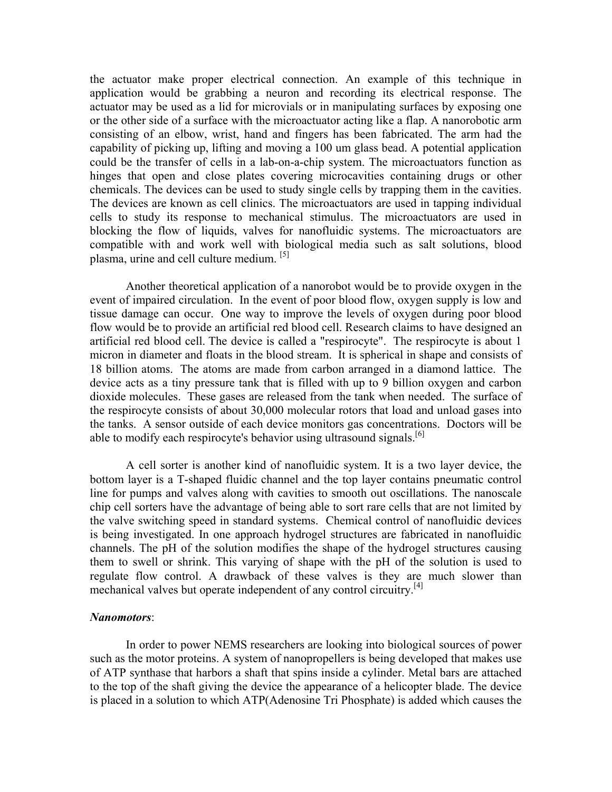the actuator make proper electrical connection. An example of this technique in application would be grabbing a neuron and recording its electrical response. The actuator may be used as a lid for microvials or in manipulating surfaces by exposing one or the other side of a surface with the microactuator acting like a flap. A nanorobotic arm consisting of an elbow, wrist, hand and fingers has been fabricated. The arm had the capability of picking up, lifting and moving a 100 um glass bead. A potential application could be the transfer of cells in a lab-on-a-chip system. The microactuators function as hinges that open and close plates covering microcavities containing drugs or other chemicals. The devices can be used to study single cells by trapping them in the cavities. The devices are known as cell clinics. The microactuators are used in tapping individual cells to study its response to mechanical stimulus. The microactuators are used in blocking the flow of liquids, valves for nanofluidic systems. The microactuators are compatible with and work well with biological media such as salt solutions, blood plasma, urine and cell culture medium. <sup>[5]</sup>

Another theoretical application of a nanorobot would be to provide oxygen in the event of impaired circulation. In the event of poor blood flow, oxygen supply is low and tissue damage can occur. One way to improve the levels of oxygen during poor blood flow would be to provide an artificial red blood cell. Research claims to have designed an artificial red blood cell. The device is called a "respirocyte". The respirocyte is about 1 micron in diameter and floats in the blood stream. It is spherical in shape and consists of 18 billion atoms. The atoms are made from carbon arranged in a diamond lattice. The device acts as a tiny pressure tank that is filled with up to 9 billion oxygen and carbon dioxide molecules. These gases are released from the tank when needed. The surface of the respirocyte consists of about 30,000 molecular rotors that load and unload gases into the tanks. A sensor outside of each device monitors gas concentrations. Doctors will be able to modify each respirocyte's behavior using ultrasound signals.<sup>[6]</sup>

A cell sorter is another kind of nanofluidic system. It is a two layer device, the bottom layer is a T-shaped fluidic channel and the top layer contains pneumatic control line for pumps and valves along with cavities to smooth out oscillations. The nanoscale chip cell sorters have the advantage of being able to sort rare cells that are not limited by the valve switching speed in standard systems. Chemical control of nanofluidic devices is being investigated. In one approach hydrogel structures are fabricated in nanofluidic channels. The pH of the solution modifies the shape of the hydrogel structures causing them to swell or shrink. This varying of shape with the pH of the solution is used to regulate flow control. A drawback of these valves is they are much slower than mechanical valves but operate independent of any control circuitry.<sup>[4]</sup>

#### *Nanomotors*:

In order to power NEMS researchers are looking into biological sources of power such as the motor proteins. A system of nanopropellers is being developed that makes use of ATP synthase that harbors a shaft that spins inside a cylinder. Metal bars are attached to the top of the shaft giving the device the appearance of a helicopter blade. The device is placed in a solution to which ATP(Adenosine Tri Phosphate) is added which causes the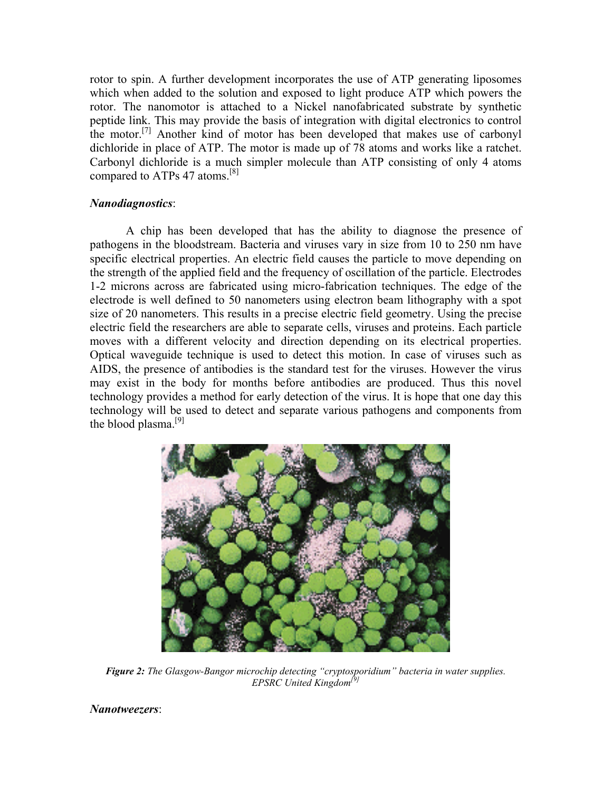rotor to spin. A further development incorporates the use of ATP generating liposomes which when added to the solution and exposed to light produce ATP which powers the rotor. The nanomotor is attached to a Nickel nanofabricated substrate by synthetic peptide link. This may provide the basis of integration with digital electronics to control the motor.<sup>[7]</sup> Another kind of motor has been developed that makes use of carbonyl dichloride in place of ATP. The motor is made up of 78 atoms and works like a ratchet. Carbonyl dichloride is a much simpler molecule than ATP consisting of only 4 atoms compared to ATPs 47 atoms.<sup>[8]</sup>

# *Nanodiagnostics*:

A chip has been developed that has the ability to diagnose the presence of pathogens in the bloodstream. Bacteria and viruses vary in size from 10 to 250 nm have specific electrical properties. An electric field causes the particle to move depending on the strength of the applied field and the frequency of oscillation of the particle. Electrodes 1-2 microns across are fabricated using micro-fabrication techniques. The edge of the electrode is well defined to 50 nanometers using electron beam lithography with a spot size of 20 nanometers. This results in a precise electric field geometry. Using the precise electric field the researchers are able to separate cells, viruses and proteins. Each particle moves with a different velocity and direction depending on its electrical properties. Optical waveguide technique is used to detect this motion. In case of viruses such as AIDS, the presence of antibodies is the standard test for the viruses. However the virus may exist in the body for months before antibodies are produced. Thus this novel technology provides a method for early detection of the virus. It is hope that one day this technology will be used to detect and separate various pathogens and components from the blood plasma.<sup>[9]</sup>



*Figure 2: The Glasgow-Bangor microchip detecting "cryptosporidium" bacteria in water supplies. EPSRC United Kingdom[9]*

*Nanotweezers*: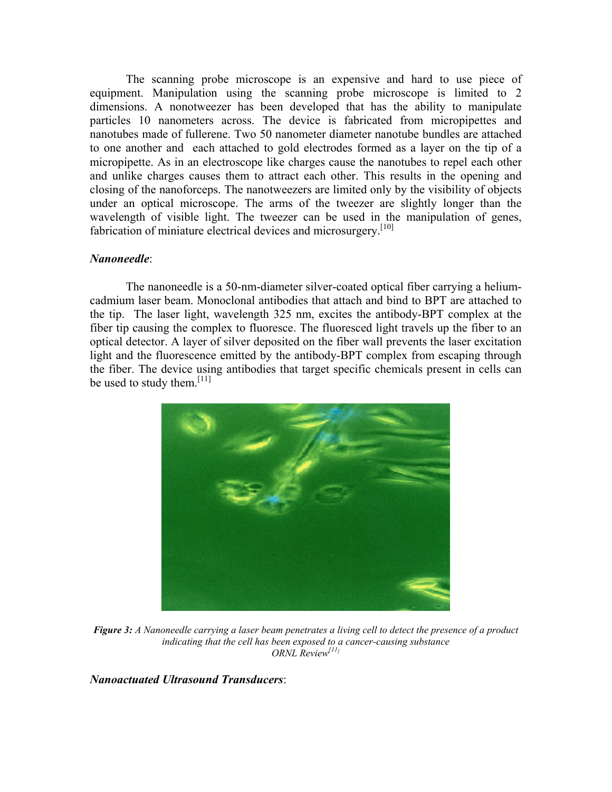The scanning probe microscope is an expensive and hard to use piece of equipment. Manipulation using the scanning probe microscope is limited to 2 dimensions. A nonotweezer has been developed that has the ability to manipulate particles 10 nanometers across. The device is fabricated from micropipettes and nanotubes made of fullerene. Two 50 nanometer diameter nanotube bundles are attached to one another and each attached to gold electrodes formed as a layer on the tip of a micropipette. As in an electroscope like charges cause the nanotubes to repel each other and unlike charges causes them to attract each other. This results in the opening and closing of the nanoforceps. The nanotweezers are limited only by the visibility of objects under an optical microscope. The arms of the tweezer are slightly longer than the wavelength of visible light. The tweezer can be used in the manipulation of genes, fabrication of miniature electrical devices and microsurgery.<sup>[10]</sup>

## *Nanoneedle*:

The nanoneedle is a 50-nm-diameter silver-coated optical fiber carrying a heliumcadmium laser beam. Monoclonal antibodies that attach and bind to BPT are attached to the tip. The laser light, wavelength 325 nm, excites the antibody-BPT complex at the fiber tip causing the complex to fluoresce. The fluoresced light travels up the fiber to an optical detector. A layer of silver deposited on the fiber wall prevents the laser excitation light and the fluorescence emitted by the antibody-BPT complex from escaping through the fiber. The device using antibodies that target specific chemicals present in cells can be used to study them.<sup>[11]</sup>



*Figure 3: A Nanoneedle carrying a laser beam penetrates a living cell to detect the presence of a product indicating that the cell has been exposed to a cancer-causing substance ORNL Review[11]* 

*Nanoactuated Ultrasound Transducers*: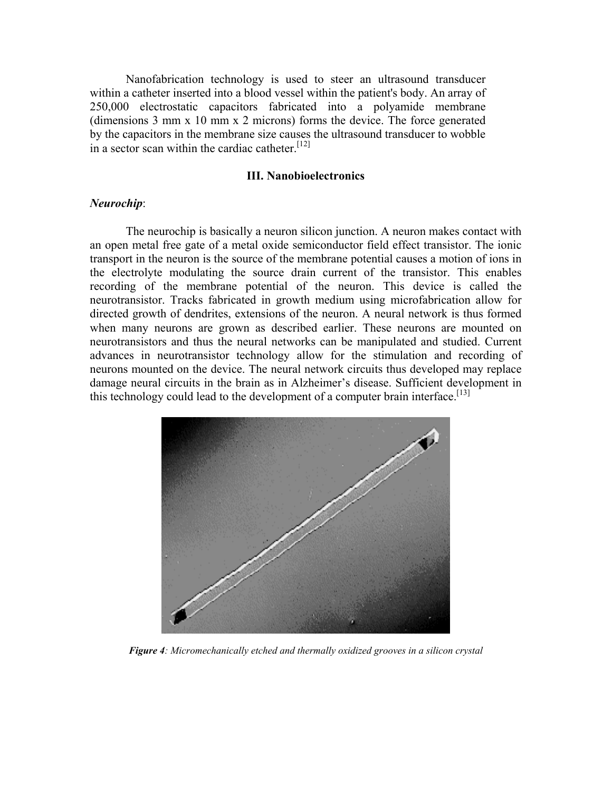Nanofabrication technology is used to steer an ultrasound transducer within a catheter inserted into a blood vessel within the patient's body. An array of 250,000 electrostatic capacitors fabricated into a polyamide membrane (dimensions 3 mm x 10 mm x 2 microns) forms the device. The force generated by the capacitors in the membrane size causes the ultrasound transducer to wobble in a sector scan within the cardiac catheter.<sup>[12]</sup>

#### **III. Nanobioelectronics**

### *Neurochip*:

The neurochip is basically a neuron silicon junction. A neuron makes contact with an open metal free gate of a metal oxide semiconductor field effect transistor. The ionic transport in the neuron is the source of the membrane potential causes a motion of ions in the electrolyte modulating the source drain current of the transistor. This enables recording of the membrane potential of the neuron. This device is called the neurotransistor. Tracks fabricated in growth medium using microfabrication allow for directed growth of dendrites, extensions of the neuron. A neural network is thus formed when many neurons are grown as described earlier. These neurons are mounted on neurotransistors and thus the neural networks can be manipulated and studied. Current advances in neurotransistor technology allow for the stimulation and recording of neurons mounted on the device. The neural network circuits thus developed may replace damage neural circuits in the brain as in Alzheimer's disease. Sufficient development in this technology could lead to the development of a computer brain interface.<sup>[13]</sup>



*Figure 4: Micromechanically etched and thermally oxidized grooves in a silicon crystal*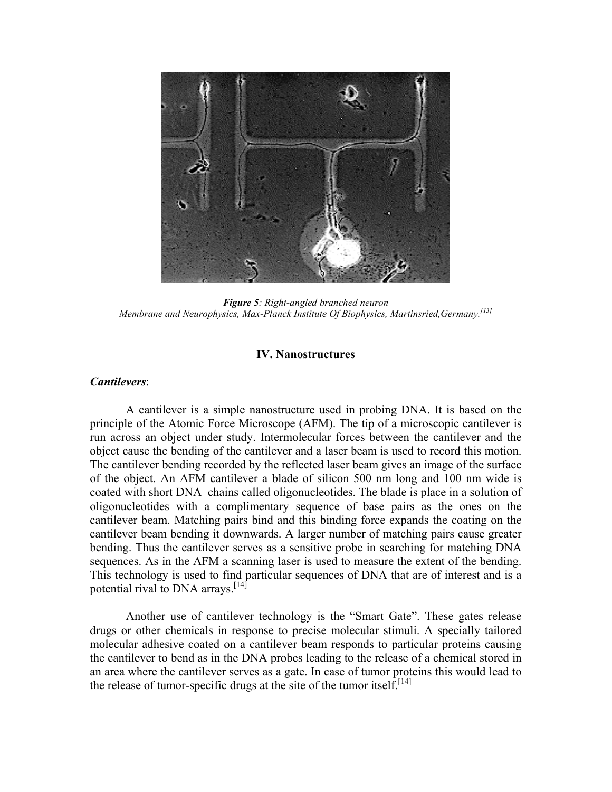

*Figure 5: Right-angled branched neuron Membrane and Neurophysics, Max-Planck Institute Of Biophysics, Martinsried,Germany.[13]*

## **IV. Nanostructures**

# *Cantilevers*:

A cantilever is a simple nanostructure used in probing DNA. It is based on the principle of the Atomic Force Microscope (AFM). The tip of a microscopic cantilever is run across an object under study. Intermolecular forces between the cantilever and the object cause the bending of the cantilever and a laser beam is used to record this motion. The cantilever bending recorded by the reflected laser beam gives an image of the surface of the object. An AFM cantilever a blade of silicon 500 nm long and 100 nm wide is coated with short DNA chains called oligonucleotides. The blade is place in a solution of oligonucleotides with a complimentary sequence of base pairs as the ones on the cantilever beam. Matching pairs bind and this binding force expands the coating on the cantilever beam bending it downwards. A larger number of matching pairs cause greater bending. Thus the cantilever serves as a sensitive probe in searching for matching DNA sequences. As in the AFM a scanning laser is used to measure the extent of the bending. This technology is used to find particular sequences of DNA that are of interest and is a potential rival to DNA arrays.<sup>[14]</sup>

Another use of cantilever technology is the "Smart Gate". These gates release drugs or other chemicals in response to precise molecular stimuli. A specially tailored molecular adhesive coated on a cantilever beam responds to particular proteins causing the cantilever to bend as in the DNA probes leading to the release of a chemical stored in an area where the cantilever serves as a gate. In case of tumor proteins this would lead to the release of tumor-specific drugs at the site of the tumor itself.<sup>[14]</sup>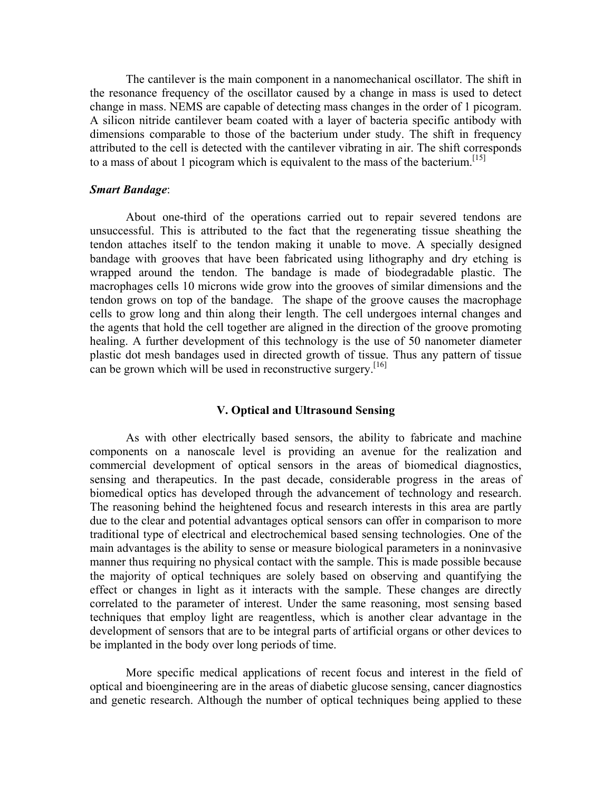The cantilever is the main component in a nanomechanical oscillator. The shift in the resonance frequency of the oscillator caused by a change in mass is used to detect change in mass. NEMS are capable of detecting mass changes in the order of 1 picogram. A silicon nitride cantilever beam coated with a layer of bacteria specific antibody with dimensions comparable to those of the bacterium under study. The shift in frequency attributed to the cell is detected with the cantilever vibrating in air. The shift corresponds to a mass of about 1 picogram which is equivalent to the mass of the bacterium.<sup>[15]</sup>

### *Smart Bandage*:

About one-third of the operations carried out to repair severed tendons are unsuccessful. This is attributed to the fact that the regenerating tissue sheathing the tendon attaches itself to the tendon making it unable to move. A specially designed bandage with grooves that have been fabricated using lithography and dry etching is wrapped around the tendon. The bandage is made of biodegradable plastic. The macrophages cells 10 microns wide grow into the grooves of similar dimensions and the tendon grows on top of the bandage. The shape of the groove causes the macrophage cells to grow long and thin along their length. The cell undergoes internal changes and the agents that hold the cell together are aligned in the direction of the groove promoting healing. A further development of this technology is the use of 50 nanometer diameter plastic dot mesh bandages used in directed growth of tissue. Thus any pattern of tissue can be grown which will be used in reconstructive surgery.<sup>[16]</sup>

### **V. Optical and Ultrasound Sensing**

As with other electrically based sensors, the ability to fabricate and machine components on a nanoscale level is providing an avenue for the realization and commercial development of optical sensors in the areas of biomedical diagnostics, sensing and therapeutics. In the past decade, considerable progress in the areas of biomedical optics has developed through the advancement of technology and research. The reasoning behind the heightened focus and research interests in this area are partly due to the clear and potential advantages optical sensors can offer in comparison to more traditional type of electrical and electrochemical based sensing technologies. One of the main advantages is the ability to sense or measure biological parameters in a noninvasive manner thus requiring no physical contact with the sample. This is made possible because the majority of optical techniques are solely based on observing and quantifying the effect or changes in light as it interacts with the sample. These changes are directly correlated to the parameter of interest. Under the same reasoning, most sensing based techniques that employ light are reagentless, which is another clear advantage in the development of sensors that are to be integral parts of artificial organs or other devices to be implanted in the body over long periods of time.

More specific medical applications of recent focus and interest in the field of optical and bioengineering are in the areas of diabetic glucose sensing, cancer diagnostics and genetic research. Although the number of optical techniques being applied to these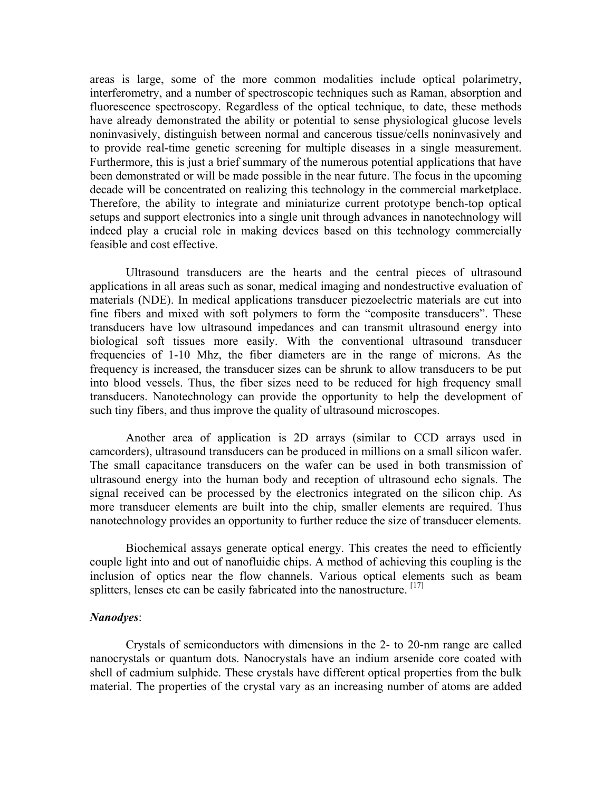areas is large, some of the more common modalities include optical polarimetry, interferometry, and a number of spectroscopic techniques such as Raman, absorption and fluorescence spectroscopy. Regardless of the optical technique, to date, these methods have already demonstrated the ability or potential to sense physiological glucose levels noninvasively, distinguish between normal and cancerous tissue/cells noninvasively and to provide real-time genetic screening for multiple diseases in a single measurement. Furthermore, this is just a brief summary of the numerous potential applications that have been demonstrated or will be made possible in the near future. The focus in the upcoming decade will be concentrated on realizing this technology in the commercial marketplace. Therefore, the ability to integrate and miniaturize current prototype bench-top optical setups and support electronics into a single unit through advances in nanotechnology will indeed play a crucial role in making devices based on this technology commercially feasible and cost effective.

Ultrasound transducers are the hearts and the central pieces of ultrasound applications in all areas such as sonar, medical imaging and nondestructive evaluation of materials (NDE). In medical applications transducer piezoelectric materials are cut into fine fibers and mixed with soft polymers to form the "composite transducers". These transducers have low ultrasound impedances and can transmit ultrasound energy into biological soft tissues more easily. With the conventional ultrasound transducer frequencies of 1-10 Mhz, the fiber diameters are in the range of microns. As the frequency is increased, the transducer sizes can be shrunk to allow transducers to be put into blood vessels. Thus, the fiber sizes need to be reduced for high frequency small transducers. Nanotechnology can provide the opportunity to help the development of such tiny fibers, and thus improve the quality of ultrasound microscopes.

Another area of application is 2D arrays (similar to CCD arrays used in camcorders), ultrasound transducers can be produced in millions on a small silicon wafer. The small capacitance transducers on the wafer can be used in both transmission of ultrasound energy into the human body and reception of ultrasound echo signals. The signal received can be processed by the electronics integrated on the silicon chip. As more transducer elements are built into the chip, smaller elements are required. Thus nanotechnology provides an opportunity to further reduce the size of transducer elements.

Biochemical assays generate optical energy. This creates the need to efficiently couple light into and out of nanofluidic chips. A method of achieving this coupling is the inclusion of optics near the flow channels. Various optical elements such as beam splitters, lenses etc can be easily fabricated into the nanostructure.  $[17]$ 

### *Nanodyes*:

Crystals of semiconductors with dimensions in the 2- to 20-nm range are called nanocrystals or quantum dots. Nanocrystals have an indium arsenide core coated with shell of cadmium sulphide. These crystals have different optical properties from the bulk material. The properties of the crystal vary as an increasing number of atoms are added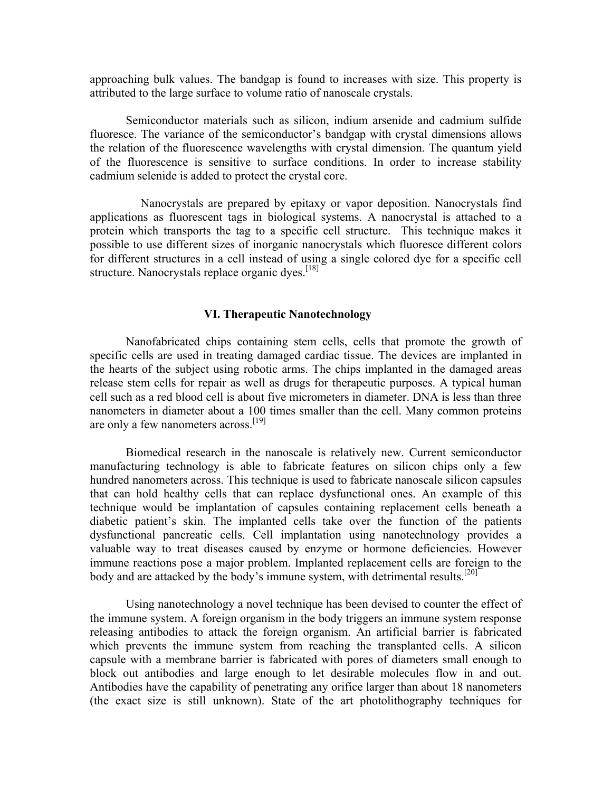approaching bulk values. The bandgap is found to increases with size. This property is attributed to the large surface to volume ratio of nanoscale crystals.

Semiconductor materials such as silicon, indium arsenide and cadmium sulfide fluoresce. The variance of the semiconductor's bandgap with crystal dimensions allows the relation of the fluorescence wavelengths with crystal dimension. The quantum yield of the fluorescence is sensitive to surface conditions. In order to increase stability cadmium selenide is added to protect the crystal core.

 Nanocrystals are prepared by epitaxy or vapor deposition. Nanocrystals find applications as fluorescent tags in biological systems. A nanocrystal is attached to a protein which transports the tag to a specific cell structure. This technique makes it possible to use different sizes of inorganic nanocrystals which fluoresce different colors for different structures in a cell instead of using a single colored dye for a specific cell structure. Nanocrystals replace organic dves.<sup>[18]</sup>

### **VI. Therapeutic Nanotechnology**

Nanofabricated chips containing stem cells, cells that promote the growth of specific cells are used in treating damaged cardiac tissue. The devices are implanted in the hearts of the subject using robotic arms. The chips implanted in the damaged areas release stem cells for repair as well as drugs for therapeutic purposes. A typical human cell such as a red blood cell is about five micrometers in diameter. DNA is less than three nanometers in diameter about a 100 times smaller than the cell. Many common proteins are only a few nanometers across.<sup>[19]</sup>

Biomedical research in the nanoscale is relatively new. Current semiconductor manufacturing technology is able to fabricate features on silicon chips only a few hundred nanometers across. This technique is used to fabricate nanoscale silicon capsules that can hold healthy cells that can replace dysfunctional ones. An example of this technique would be implantation of capsules containing replacement cells beneath a diabetic patient's skin. The implanted cells take over the function of the patients dysfunctional pancreatic cells. Cell implantation using nanotechnology provides a valuable way to treat diseases caused by enzyme or hormone deficiencies. However immune reactions pose a major problem. Implanted replacement cells are foreign to the body and are attacked by the body's immune system, with detrimental results.<sup>[20]</sup>

Using nanotechnology a novel technique has been devised to counter the effect of the immune system. A foreign organism in the body triggers an immune system response releasing antibodies to attack the foreign organism. An artificial barrier is fabricated which prevents the immune system from reaching the transplanted cells. A silicon capsule with a membrane barrier is fabricated with pores of diameters small enough to block out antibodies and large enough to let desirable molecules flow in and out. Antibodies have the capability of penetrating any orifice larger than about 18 nanometers (the exact size is still unknown). State of the art photolithography techniques for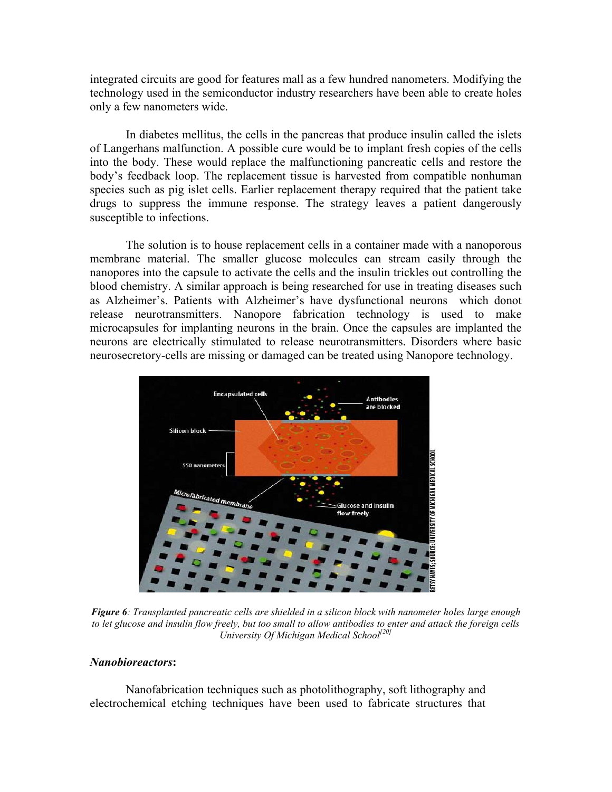integrated circuits are good for features mall as a few hundred nanometers. Modifying the technology used in the semiconductor industry researchers have been able to create holes only a few nanometers wide.

In diabetes mellitus, the cells in the pancreas that produce insulin called the islets of Langerhans malfunction. A possible cure would be to implant fresh copies of the cells into the body. These would replace the malfunctioning pancreatic cells and restore the body's feedback loop. The replacement tissue is harvested from compatible nonhuman species such as pig islet cells. Earlier replacement therapy required that the patient take drugs to suppress the immune response. The strategy leaves a patient dangerously susceptible to infections.

The solution is to house replacement cells in a container made with a nanoporous membrane material. The smaller glucose molecules can stream easily through the nanopores into the capsule to activate the cells and the insulin trickles out controlling the blood chemistry. A similar approach is being researched for use in treating diseases such as Alzheimer's. Patients with Alzheimer's have dysfunctional neurons which donot release neurotransmitters. Nanopore fabrication technology is used to make microcapsules for implanting neurons in the brain. Once the capsules are implanted the neurons are electrically stimulated to release neurotransmitters. Disorders where basic neurosecretory-cells are missing or damaged can be treated using Nanopore technology.



*Figure 6: Transplanted pancreatic cells are shielded in a silicon block with nanometer holes large enough to let glucose and insulin flow freely, but too small to allow antibodies to enter and attack the foreign cells University Of Michigan Medical School[20]*

### *Nanobioreactors***:**

Nanofabrication techniques such as photolithography, soft lithography and electrochemical etching techniques have been used to fabricate structures that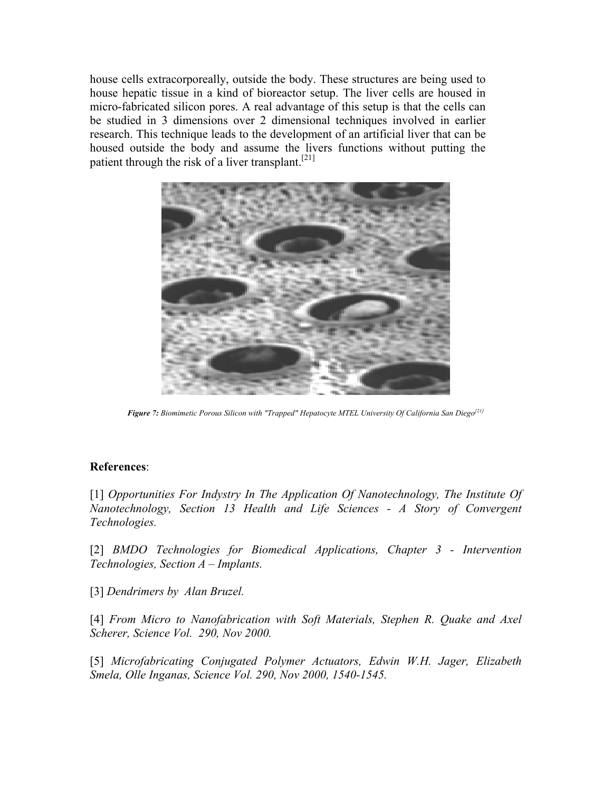house cells extracorporeally, outside the body. These structures are being used to house hepatic tissue in a kind of bioreactor setup. The liver cells are housed in micro-fabricated silicon pores. A real advantage of this setup is that the cells can be studied in 3 dimensions over 2 dimensional techniques involved in earlier research. This technique leads to the development of an artificial liver that can be housed outside the body and assume the livers functions without putting the patient through the risk of a liver transplant.<sup>[21]</sup>



*Figure 7: Biomimetic Porous Silicon with "Trapped" Hepatocyte MTEL University Of California San Diego[21]*

# **References**:

[1] *Opportunities For Indystry In The Application Of Nanotechnology, The Institute Of Nanotechnology, Section 13 Health and Life Sciences - A Story of Convergent Technologies.*

[2] *BMDO Technologies for Biomedical Applications, Chapter 3 - Intervention Technologies, Section A – Implants.*

[3] *Dendrimers by Alan Bruzel.* 

[4] *From Micro to Nanofabrication with Soft Materials, Stephen R. Quake and Axel Scherer, Science Vol. 290, Nov 2000.* 

[5] *Microfabricating Conjugated Polymer Actuators, Edwin W.H. Jager, Elizabeth Smela, Olle Inganas, Science Vol. 290, Nov 2000, 1540-1545.*